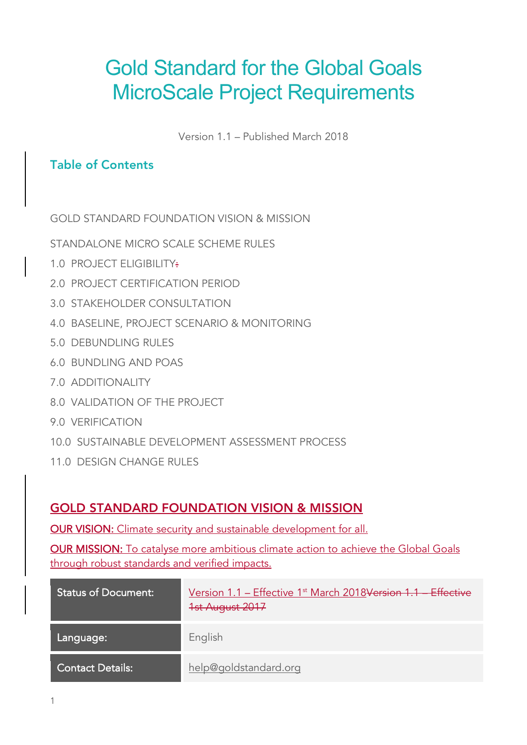# Gold Standard for the Global Goals MicroScale Project Requirements

Version 1.1 – Published March 2018

#### Table of Contents

GOLD STANDARD FOUNDATION VISION & MISSION

STANDALONE MICRO SCALE SCHEME RULES

- 1.0 PROJECT ELIGIBILITY:
- 2.0 PROJECT CERTIFICATION PERIOD
- 3.0 STAKEHOLDER CONSULTATION
- 4.0 BASELINE, PROJECT SCENARIO & MONITORING
- 5.0 DEBUNDLING RULES
- 6.0 BUNDLING AND POAS
- 7.0 ADDITIONALITY
- 8.0 VALIDATION OF THE PROJECT
- 9.0 VERIFICATION
- 10.0 SUSTAINABLE DEVELOPMENT ASSESSMENT PROCESS
- 11.0 DESIGN CHANGE RULES

#### GOLD STANDARD FOUNDATION VISION & MISSION

OUR VISION: Climate security and sustainable development for all.

OUR MISSION: To catalyse more ambitious climate action to achieve the Global Goals through robust standards and verified impacts.

| <b>Status of Document:</b> | Version 1.1 - Effective 1 <sup>st</sup> March 2018 <del>Version 1.1 - Effective</del><br>1st August 2017 |
|----------------------------|----------------------------------------------------------------------------------------------------------|
| Language:                  | English                                                                                                  |
| <b>Contact Details:</b>    | help@goldstandard.org                                                                                    |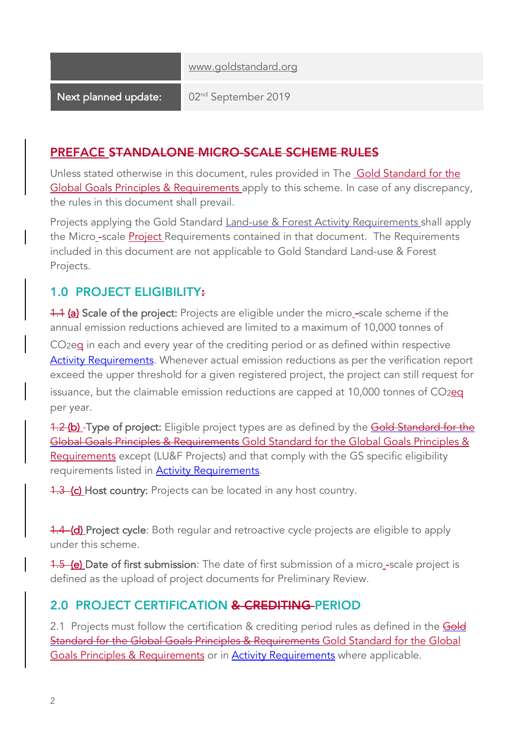www.goldstandard.org

Next planned update: 02<sup>nd</sup> September 2019

#### PREFACE STANDALONE MICRO-SCALE SCHEME RULES

Unless stated otherwise in this document, rules provided in The Gold Standard for the Global Goals Principles & Requirements apply to this scheme. In case of any discrepancy, the rules in this document shall prevail.

Projects applying the Gold Standard Land-use & Forest Activity Requirements shall apply the Micro -scale Project Requirements contained in that document. The Requirements included in this document are not applicable to Gold Standard Land-use & Forest Projects.

# 1.0 PROJECT ELIGIBILITY:

**1.1 (a) Scale of the project:** Projects are eligible under the micro -scale scheme if the annual emission reductions achieved are limited to a maximum of 10,000 tonnes of

 $CO<sub>2</sub>e<sub>q</sub>$  in each and every year of the crediting period or as defined within respective Activity Requirements. Whenever actual emission reductions as per the verification report exceed the upper threshold for a given registered project, the project can still request for issuance, but the claimable emission reductions are capped at  $10,000$  tonnes of  $CO<sub>2</sub>$ eq per year.

1.2 (b) - Type of project: Eligible project types are as defined by the Gold Standard for the Global Goals Principles & Requirements Gold Standard for the Global Goals Principles & Requirements except (LU&F Projects) and that comply with the GS specific eligibility requirements listed in **Activity Requirements**.

**1.3 (c) Host country:** Projects can be located in any host country.

**1.4 (d) Project cycle**: Both regular and retroactive cycle projects are eligible to apply under this scheme*.* 

1.5 (e) Date of first submission: The date of first submission of a micro-scale project is defined as the upload of project documents for Preliminary Review.

## 2.0 PROJECT CERTIFICATION & CREDITING PERIOD

2.1 Projects must follow the certification & crediting period rules as defined in the Gold Standard for the Global Goals Principles & Requirements Gold Standard for the Global Goals Principles & Requirements or in Activity Requirements where applicable.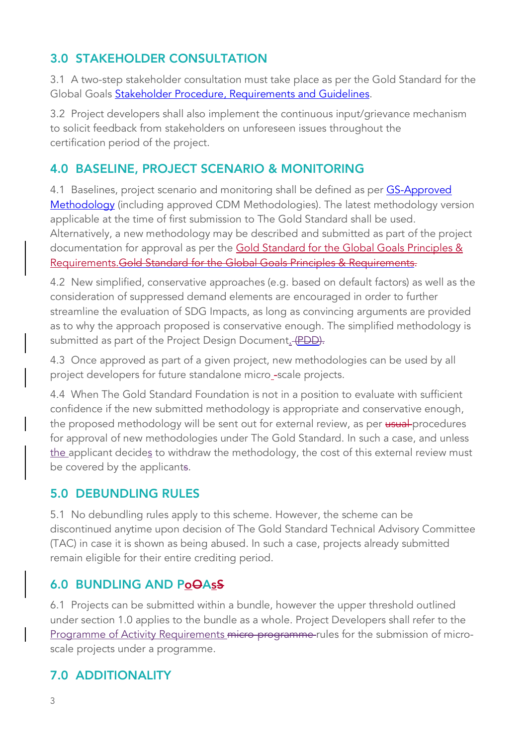# 3.0 STAKEHOLDER CONSULTATION

3.1 A two-step stakeholder consultation must take place as per the Gold Standard for the Global Goals **Stakeholder Procedure, Requirements and Guidelines**.

3.2 Project developers shall also implement the continuous input/grievance mechanism to solicit feedback from stakeholders on unforeseen issues throughout the certification period of the project.

# 4.0 BASELINE, PROJECT SCENARIO & MONITORING

4.1 Baselines, project scenario and monitoring shall be defined as per GS-Approved Methodology (including approved CDM Methodologies). The latest methodology version applicable at the time of first submission to The Gold Standard shall be used. Alternatively, a new methodology may be described and submitted as part of the project documentation for approval as per the Gold Standard for the Global Goals Principles & Requirements.Gold Standard for the Global Goals Principles & Requirements.

4.2 New simplified, conservative approaches (e.g. based on default factors) as well as the consideration of suppressed demand elements are encouraged in order to further streamline the evaluation of SDG Impacts, as long as convincing arguments are provided as to why the approach proposed is conservative enough. The simplified methodology is submitted as part of the Project Design Document. (PDD).

4.3 Once approved as part of a given project, new methodologies can be used by all project developers for future standalone micro -scale projects.

4.4 When The Gold Standard Foundation is not in a position to evaluate with sufficient confidence if the new submitted methodology is appropriate and conservative enough, the proposed methodology will be sent out for external review, as per usual procedures for approval of new methodologies under The Gold Standard. In such a case, and unless the applicant decides to withdraw the methodology, the cost of this external review must be covered by the applicants.

## 5.0 DEBUNDLING RULES

5.1 No debundling rules apply to this scheme. However, the scheme can be discontinued anytime upon decision of The Gold Standard Technical Advisory Committee (TAC) in case it is shown as being abused. In such a case, projects already submitted remain eligible for their entire crediting period.

## 6.0 BUNDLING AND PoOAsS

6.1 Projects can be submitted within a bundle, however the upper threshold outlined under section 1.0 applies to the bundle as a whole. Project Developers shall refer to the Programme of Activity Requirements micro-programme-rules for the submission of microscale projects under a programme.

# 7.0 ADDITIONALITY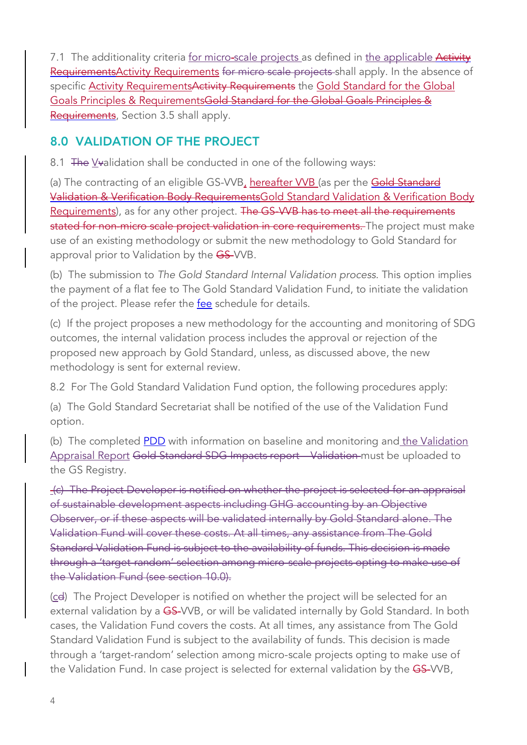7.1 The additionality criteria for micro-scale projects as defined in the applicable Activity RequirementsActivity Requirements for micro scale projects shall apply. In the absence of specific Activity Requirements Activity Requirements the Gold Standard for the Global Goals Principles & RequirementsGold Standard for the Global Goals Principles & Requirements, Section 3.5 shall apply.

## 8.0 VALIDATION OF THE PROJECT

8.1 The Vvalidation shall be conducted in one of the following ways:

(a) The contracting of an eligible GS-VVB, hereafter VVB (as per the Gold Standard Validation & Verification Body RequirementsGold Standard Validation & Verification Body Requirements), as for any other project. The GS-WB has to meet all the requirements stated for non-micro scale project validation in core requirements. The project must make use of an existing methodology or submit the new methodology to Gold Standard for approval prior to Validation by the GS-VVB.

(b) The submission to *The Gold Standard Internal Validation process*. This option implies the payment of a flat fee to The Gold Standard Validation Fund, to initiate the validation of the project. Please refer the fee schedule for details.

(c) If the project proposes a new methodology for the accounting and monitoring of SDG outcomes, the internal validation process includes the approval or rejection of the proposed new approach by Gold Standard, unless, as discussed above, the new methodology is sent for external review.

8.2 For The Gold Standard Validation Fund option, the following procedures apply:

(a) The Gold Standard Secretariat shall be notified of the use of the Validation Fund option.

(b) The completed **PDD** with information on baseline and monitoring and the Validation Appraisal Report Gold Standard SDG Impacts report - Validation must be uploaded to the GS Registry.

(c) The Project Developer is notified on whether the project is selected for an appraisal of sustainable development aspects including GHG accounting by an Objective Observer, or if these aspects will be validated internally by Gold Standard alone. The Validation Fund will cover these costs. At all times, any assistance from The Gold Standard Validation Fund is subject to the availability of funds. This decision is made through a 'target-random' selection among micro-scale projects opting to make use of the Validation Fund (see section 10.0).

(cd) The Project Developer is notified on whether the project will be selected for an external validation by a GS-VVB, or will be validated internally by Gold Standard. In both cases, the Validation Fund covers the costs. At all times, any assistance from The Gold Standard Validation Fund is subject to the availability of funds. This decision is made through a 'target-random' selection among micro-scale projects opting to make use of the Validation Fund. In case project is selected for external validation by the GS-VVB,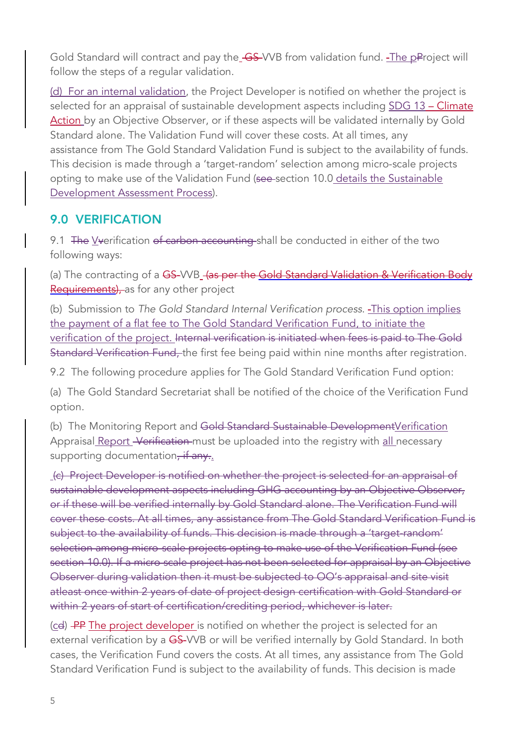Gold Standard will contract and pay the GS-VVB from validation fund. The pProject will follow the steps of a regular validation.

(d) For an internal validation, the Project Developer is notified on whether the project is selected for an appraisal of sustainable development aspects including SDG 13 - Climate Action by an Objective Observer, or if these aspects will be validated internally by Gold Standard alone. The Validation Fund will cover these costs. At all times, any assistance from The Gold Standard Validation Fund is subject to the availability of funds. This decision is made through a 'target-random' selection among micro-scale projects opting to make use of the Validation Fund (see-section 10.0 details the Sustainable Development Assessment Process).

#### 9.0 VERIFICATION

9.1 The Vverification of carbon accounting shall be conducted in either of the two following ways:

(a) The contracting of a GS-VVB<sub>-</sub> (as per the Gold Standard Validation & Verification Body Requirements), as for any other project

(b) Submission to *The Gold Standard Internal Verification process*. This option implies the payment of a flat fee to The Gold Standard Verification Fund, to initiate the verification of the project. Internal verification is initiated when fees is paid to The Gold Standard Verification Fund, the first fee being paid within nine months after registration.

9.2 The following procedure applies for The Gold Standard Verification Fund option:

(a) The Gold Standard Secretariat shall be notified of the choice of the Verification Fund option.

(b) The Monitoring Report and Gold Standard Sustainable Development Verification Appraisal Report - Verification must be uploaded into the registry with all necessary supporting documentation, if any..

(c) Project Developer is notified on whether the project is selected for an appraisal of sustainable development aspects including GHG accounting by an Objective Observer, or if these will be verified internally by Gold Standard alone. The Verification Fund will cover these costs. At all times, any assistance from The Gold Standard Verification Fund is subject to the availability of funds. This decision is made through a 'target-random' selection among micro-scale projects opting to make use of the Verification Fund (see section 10.0). If a micro scale project has not been selected for appraisal by an Objective Observer during validation then it must be subjected to OO's appraisal and site visit atleast once within 2 years of date of project design certification with Gold Standard or within 2 years of start of certification/crediting period, whichever is later.

(cd) PP The project developer is notified on whether the project is selected for an external verification by a GS-VVB or will be verified internally by Gold Standard. In both cases, the Verification Fund covers the costs. At all times, any assistance from The Gold Standard Verification Fund is subject to the availability of funds. This decision is made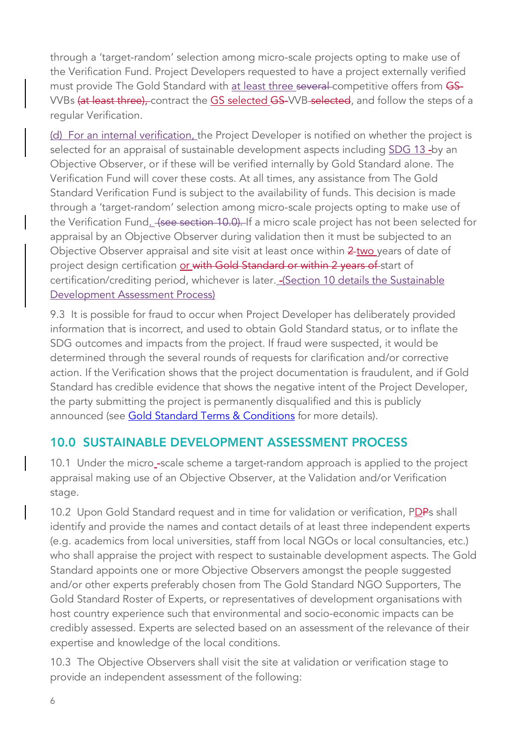through a 'target-random' selection among micro-scale projects opting to make use of the Verification Fund. Project Developers requested to have a project externally verified must provide The Gold Standard with at least three several competitive offers from GS-VVBs (at least three), contract the GS selected GS-VVB selected, and follow the steps of a regular Verification.

(d) For an internal verification, the Project Developer is notified on whether the project is selected for an appraisal of sustainable development aspects including SDG 13-by an Objective Observer, or if these will be verified internally by Gold Standard alone. The Verification Fund will cover these costs. At all times, any assistance from The Gold Standard Verification Fund is subject to the availability of funds. This decision is made through a 'target-random' selection among micro-scale projects opting to make use of the Verification Fund. (see section 10.0). If a micro scale project has not been selected for appraisal by an Objective Observer during validation then it must be subjected to an Objective Observer appraisal and site visit at least once within 2 two years of date of project design certification or with Gold Standard or within 2 years of start of certification/crediting period, whichever is later. - (Section 10 details the Sustainable Development Assessment Process)

9.3 It is possible for fraud to occur when Project Developer has deliberately provided information that is incorrect, and used to obtain Gold Standard status, or to inflate the SDG outcomes and impacts from the project. If fraud were suspected, it would be determined through the several rounds of requests for clarification and/or corrective action. If the Verification shows that the project documentation is fraudulent, and if Gold Standard has credible evidence that shows the negative intent of the Project Developer, the party submitting the project is permanently disqualified and this is publicly announced (see Gold Standard Terms & Conditions for more details).

## 10.0 SUSTAINABLE DEVELOPMENT ASSESSMENT PROCESS

10.1 Under the micro-scale scheme a target-random approach is applied to the project appraisal making use of an Objective Observer, at the Validation and/or Verification stage.

10.2 Upon Gold Standard request and in time for validation or verification, PDPs shall identify and provide the names and contact details of at least three independent experts (e.g. academics from local universities, staff from local NGOs or local consultancies, etc.) who shall appraise the project with respect to sustainable development aspects. The Gold Standard appoints one or more Objective Observers amongst the people suggested and/or other experts preferably chosen from The Gold Standard NGO Supporters, The Gold Standard Roster of Experts, or representatives of development organisations with host country experience such that environmental and socio-economic impacts can be credibly assessed. Experts are selected based on an assessment of the relevance of their expertise and knowledge of the local conditions.

10.3 The Objective Observers shall visit the site at validation or verification stage to provide an independent assessment of the following: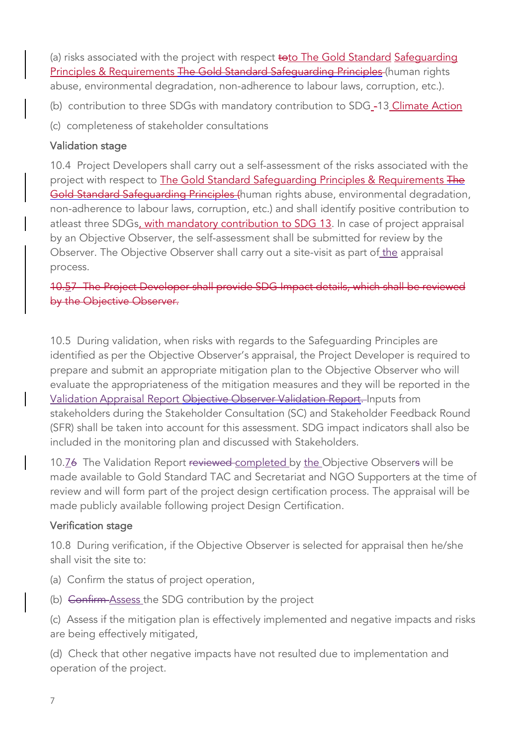(a) risks associated with the project with respect toto The Gold Standard Safequarding Principles & Requirements The Gold Standard Safequarding Principles (human rights abuse, environmental degradation, non-adherence to labour laws, corruption, etc.).

(b) contribution to three SDGs with mandatory contribution to SDG<sub>-13</sub> Climate Action

(c) completeness of stakeholder consultations

#### Validation stage

10.4 Project Developers shall carry out a self-assessment of the risks associated with the project with respect to The Gold Standard Safeguarding Principles & Requirements The Gold Standard Safequarding Principles (human rights abuse, environmental degradation, non-adherence to labour laws, corruption, etc.) and shall identify positive contribution to atleast three SDGs, with mandatory contribution to SDG 13. In case of project appraisal by an Objective Observer, the self-assessment shall be submitted for review by the Observer. The Objective Observer shall carry out a site-visit as part of the appraisal process.

10.57 The Project Developer shall provide SDG Impact details, which shall be reviewed by the Objective Observer.

10.5 During validation, when risks with regards to the Safeguarding Principles are identified as per the Objective Observer's appraisal, the Project Developer is required to prepare and submit an appropriate mitigation plan to the Objective Observer who will evaluate the appropriateness of the mitigation measures and they will be reported in the Validation Appraisal Report Objective Observer Validation Report. Inputs from stakeholders during the Stakeholder Consultation (SC) and Stakeholder Feedback Round (SFR) shall be taken into account for this assessment. SDG impact indicators shall also be included in the monitoring plan and discussed with Stakeholders.

10.76 The Validation Report reviewed-completed by the Objective Observers will be made available to Gold Standard TAC and Secretariat and NGO Supporters at the time of review and will form part of the project design certification process. The appraisal will be made publicly available following project Design Certification.

#### Verification stage

10.8 During verification, if the Objective Observer is selected for appraisal then he/she shall visit the site to:

- (a) Confirm the status of project operation,
- (b) Confirm Assess the SDG contribution by the project
- (c) Assess if the mitigation plan is effectively implemented and negative impacts and risks are being effectively mitigated,

(d) Check that other negative impacts have not resulted due to implementation and operation of the project.